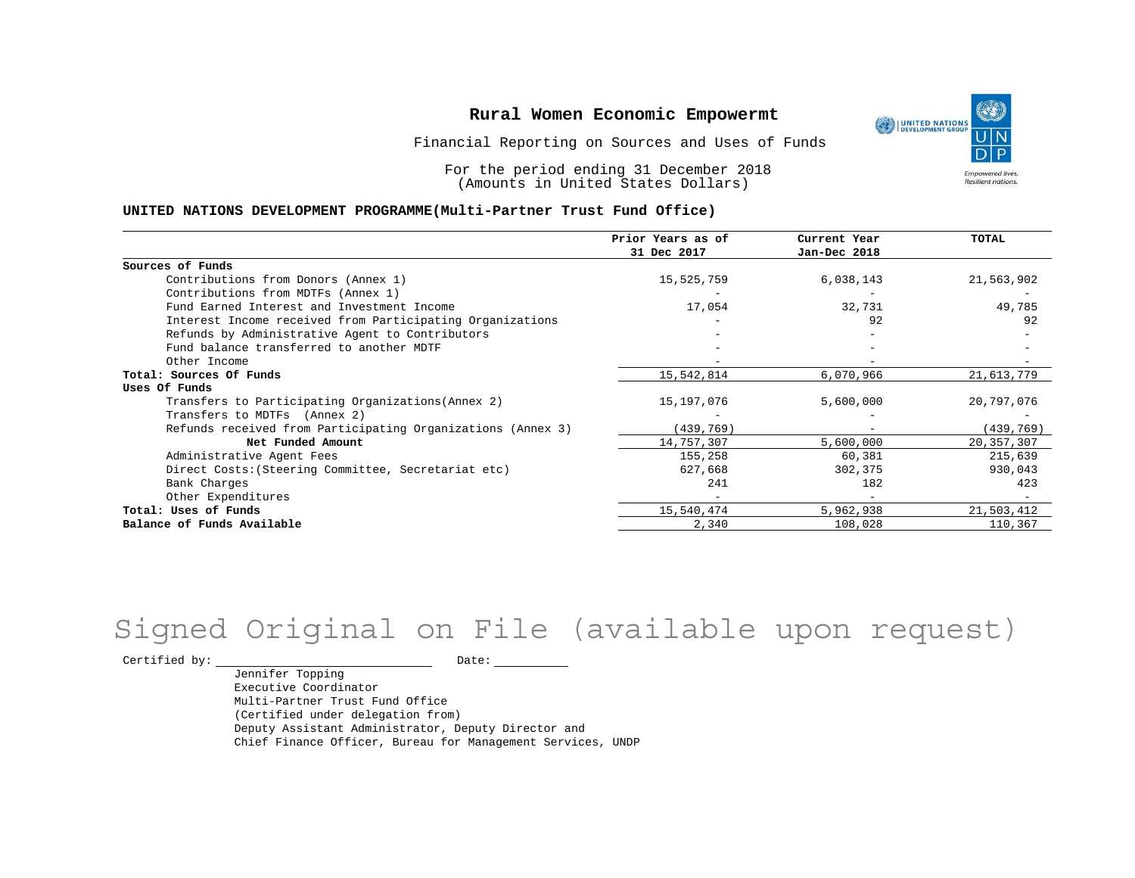Financial Reporting on Sources and Uses of Funds

For the period ending 31 December 2018 (Amounts in United States Dollars)

#### **UNITED NATIONS DEVELOPMENT PROGRAMME(Multi-Partner Trust Fund Office)**

|                                                             | Prior Years as of<br>31 Dec 2017 | Current Year<br>Jan-Dec 2018 | <b>TOTAL</b> |
|-------------------------------------------------------------|----------------------------------|------------------------------|--------------|
|                                                             |                                  |                              |              |
| Sources of Funds                                            |                                  |                              |              |
| Contributions from Donors (Annex 1)                         | 15,525,759                       | 6,038,143                    | 21,563,902   |
| Contributions from MDTFs (Annex 1)                          |                                  |                              |              |
| Fund Earned Interest and Investment Income                  | 17,054                           | 32,731                       | 49,785       |
| Interest Income received from Participating Organizations   |                                  | 92                           | 92           |
| Refunds by Administrative Agent to Contributors             |                                  |                              |              |
| Fund balance transferred to another MDTF                    |                                  |                              |              |
| Other Income                                                |                                  |                              |              |
| Total: Sources Of Funds                                     | 15,542,814                       | 6,070,966                    | 21,613,779   |
| Uses Of Funds                                               |                                  |                              |              |
| Transfers to Participating Organizations (Annex 2)          | 15,197,076                       | 5,600,000                    | 20,797,076   |
| Transfers to MDTFs (Annex 2)                                |                                  |                              |              |
| Refunds received from Participating Organizations (Annex 3) | (439, 769)                       | $\overline{\phantom{m}}$     | (439, 769)   |
| Net Funded Amount                                           | 14,757,307                       | 5,600,000                    | 20, 357, 307 |
| Administrative Agent Fees                                   | 155,258                          | 60,381                       | 215,639      |
| Direct Costs: (Steering Committee, Secretariat etc)         | 627,668                          | 302,375                      | 930,043      |
| Bank Charges                                                | 241                              | 182                          | 423          |
| Other Expenditures                                          |                                  |                              |              |
| Total: Uses of Funds                                        | 15,540,474                       | 5,962,938                    | 21,503,412   |
| Balance of Funds Available                                  | 2,340                            | 108,028                      | 110,367      |

# Signed Original on File (available upon request)

 $\begin{tabular}{ccccc} \multicolumn{2}{c|}{\textbf{Certified by:}} & & \multicolumn{2}{c|}{\textbf{Date:}} & \multicolumn{2}{c|}{\textbf{Date:}} \end{tabular}$ 

Jennifer Topping Executive Coordinator Multi-Partner Trust Fund Office (Certified under delegation from) Deputy Assistant Administrator, Deputy Director and Chief Finance Officer, Bureau for Management Services, UNDP

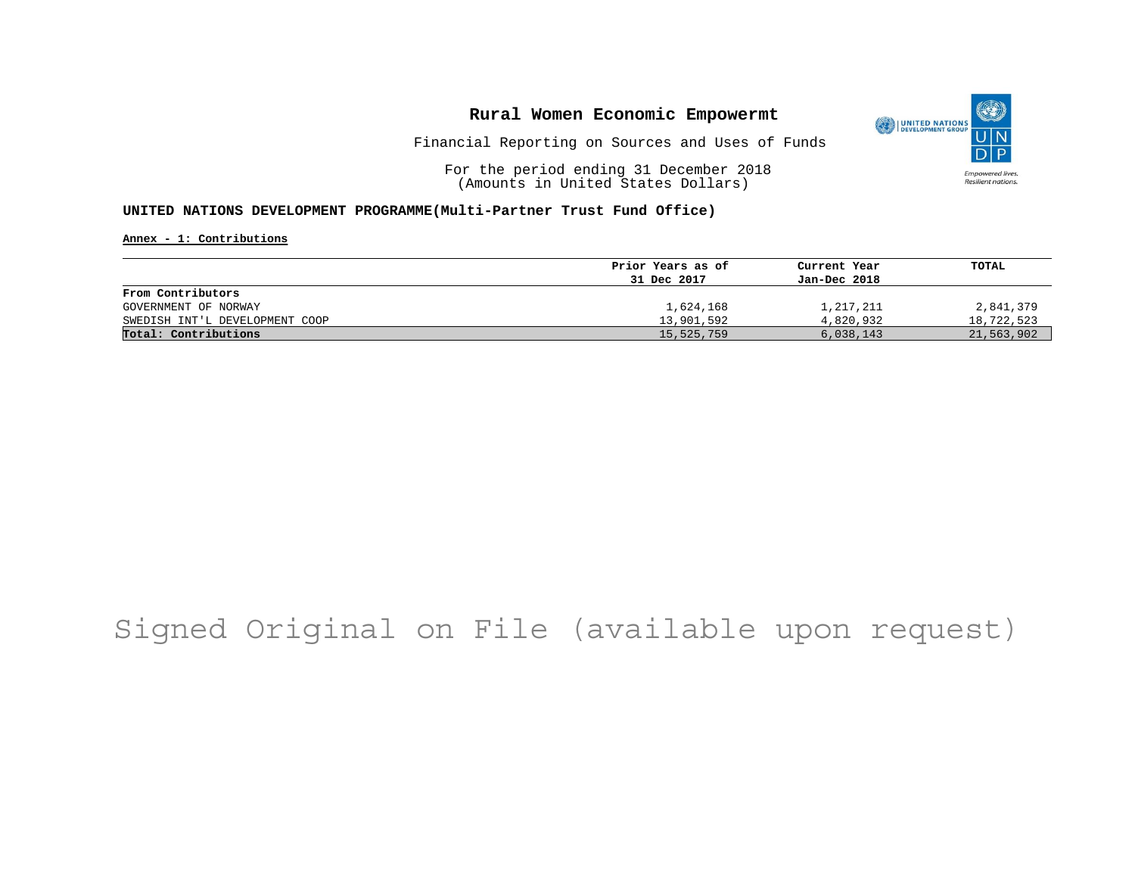

Financial Reporting on Sources and Uses of Funds

For the period ending 31 December 2018 (Amounts in United States Dollars)

### **UNITED NATIONS DEVELOPMENT PROGRAMME(Multi-Partner Trust Fund Office)**

**Annex - 1: Contributions**

|                                | Prior Years as of | Current Year | TOTAL      |
|--------------------------------|-------------------|--------------|------------|
|                                | 31 Dec 2017       | Jan-Dec 2018 |            |
| From Contributors              |                   |              |            |
| GOVERNMENT OF NORWAY           | 1,624,168         | 1,217,211    | 2,841,379  |
| SWEDISH INT'L DEVELOPMENT COOP | 13,901,592        | 4,820,932    | 18,722,523 |
| Total: Contributions           | 15,525,759        | 6,038,143    | 21,563,902 |

# Signed Original on File (available upon request)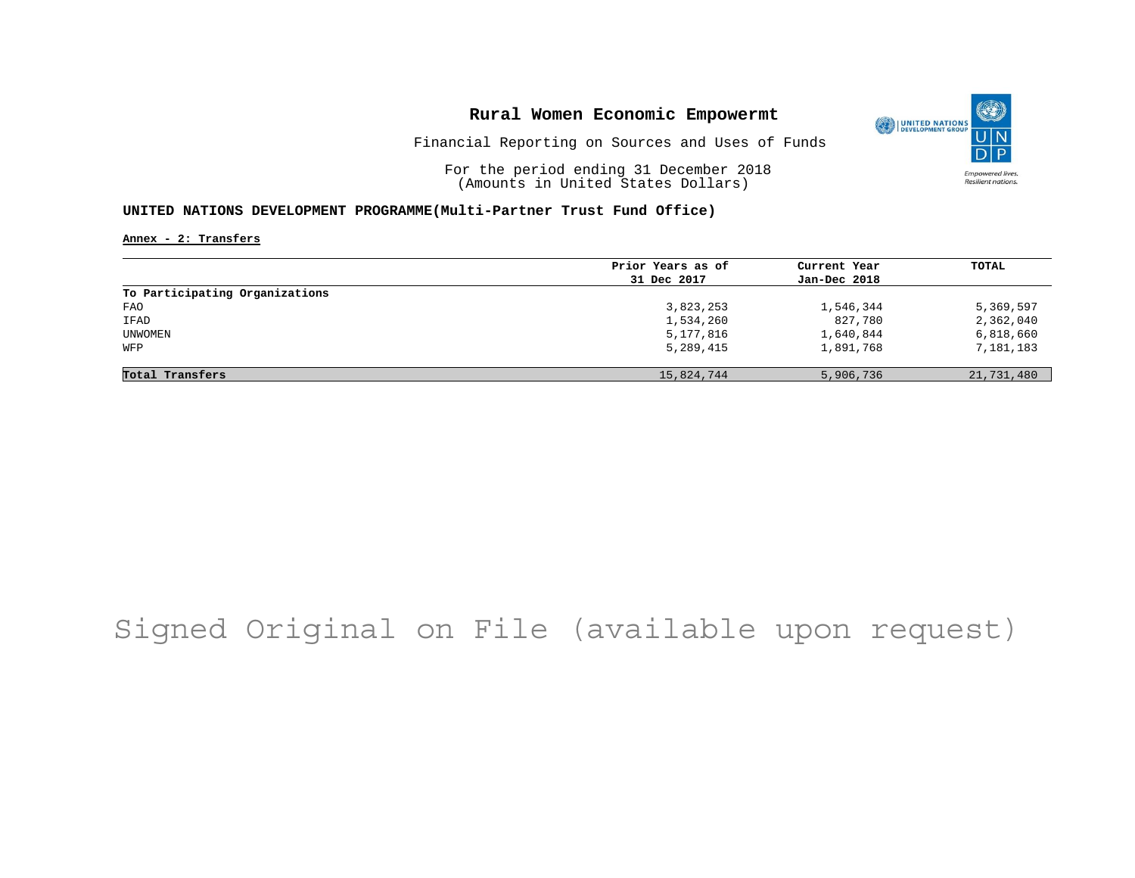

Financial Reporting on Sources and Uses of Funds

For the period ending 31 December 2018 (Amounts in United States Dollars)

### **UNITED NATIONS DEVELOPMENT PROGRAMME(Multi-Partner Trust Fund Office)**

**Annex - 2: Transfers**

|                                | Prior Years as of | Current Year | TOTAL      |
|--------------------------------|-------------------|--------------|------------|
|                                | 31 Dec 2017       | Jan-Dec 2018 |            |
| To Participating Organizations |                   |              |            |
| FAO                            | 3,823,253         | 1,546,344    | 5,369,597  |
| IFAD                           | 1,534,260         | 827,780      | 2,362,040  |
| UNWOMEN                        | 5,177,816         | 1,640,844    | 6,818,660  |
| WFP                            | 5,289,415         | 1,891,768    | 7,181,183  |
|                                |                   |              |            |
| Total Transfers                | 15,824,744        | 5,906,736    | 21,731,480 |

# Signed Original on File (available upon request)